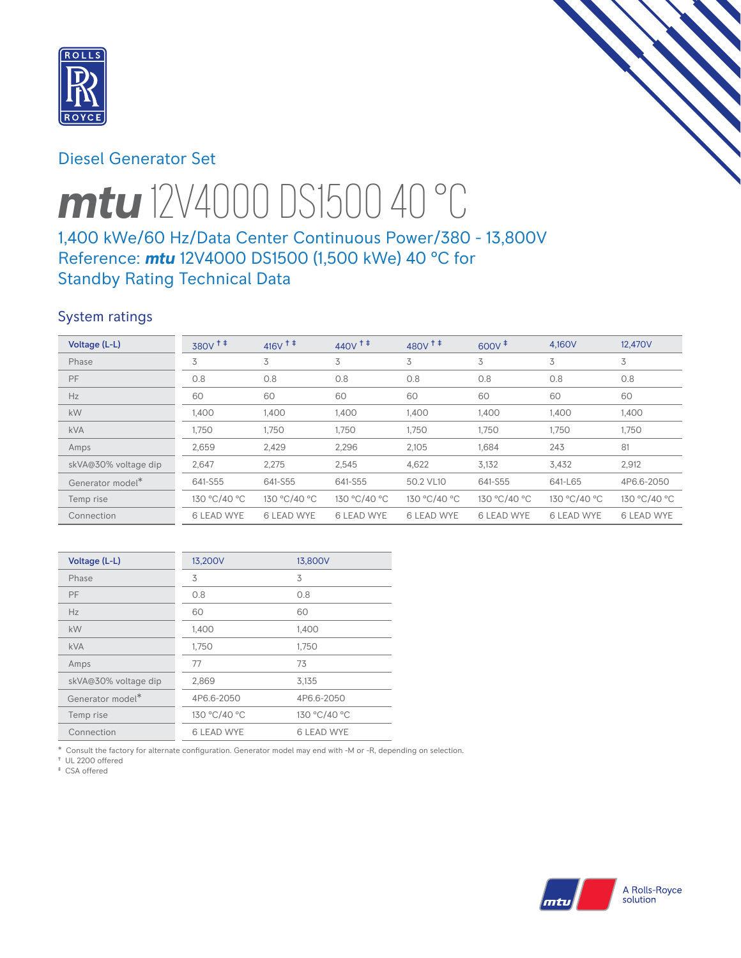

# Diesel Generator Set



# *mtu* 12V4000 DS1500 40 °C

# 1,400 kWe/60 Hz/Data Center Continuous Power/380 - 13,800V Reference: *mtu* 12V4000 DS1500 (1,500 kWe) 40 °C for Standby Rating Technical Data

# System ratings

| Voltage (L-L)        | $380V$ <sup>++</sup> | $416V$ <sup><math>+</math></sup> | $440V$ <sup>++</sup> | $480V$ <sup>++</sup> | $600V^{\ddagger}$ | 4,160V            | 12,470V           |
|----------------------|----------------------|----------------------------------|----------------------|----------------------|-------------------|-------------------|-------------------|
| Phase                | 3                    | 3                                | 3                    | 3                    | 3                 | 3                 | 3                 |
| PF                   | 0.8                  | 0.8                              | 0.8                  | 0.8                  | 0.8               | 0.8               | 0.8               |
| Hz                   | 60                   | 60                               | 60                   | 60                   | 60                | 60                | 60                |
| kW                   | 1,400                | 1,400                            | 1,400                | 1,400                | 1,400             | 1,400             | 1,400             |
| <b>kVA</b>           | 1,750                | 1,750                            | 1,750                | 1,750                | 1,750             | 1,750             | 1,750             |
| Amps                 | 2,659                | 2,429                            | 2,296                | 2,105                | 1,684             | 243               | 81                |
| skVA@30% voltage dip | 2,647                | 2,275                            | 2,545                | 4,622                | 3,132             | 3,432             | 2,912             |
| Generator model*     | 641-S55              | 641-S55                          | 641-S55              | 50.2 VL10            | 641-S55           | 641-L65           | 4P6.6-2050        |
| Temp rise            | 130 °C/40 °C         | 130 °C/40 °C                     | 130 °C/40 °C         | 130 °C/40 °C         | 130 °C/40 °C      | 130 °C/40 °C      | 130 °C/40 °C      |
| Connection           | <b>6 LEAD WYE</b>    | <b>6 LEAD WYE</b>                | <b>6 LEAD WYE</b>    | <b>6 LEAD WYE</b>    | <b>6 LEAD WYE</b> | <b>6 LEAD WYE</b> | <b>6 LEAD WYE</b> |

| Voltage (L-L)        | 13,200V           | 13,800V           |
|----------------------|-------------------|-------------------|
| Phase                | 3                 | 3                 |
| PF                   | 0.8               | 0.8               |
| Hz                   | 60                | 60                |
| kW                   | 1,400             | 1,400             |
| <b>kVA</b>           | 1,750             | 1,750             |
| Amps                 | 77                | 73                |
| skVA@30% voltage dip | 2,869             | 3,135             |
| Generator model*     | 4P6.6-2050        | 4P6.6-2050        |
| Temp rise            | 130 °C/40 °C      | 130 °C/40 °C      |
| Connection           | <b>6 LEAD WYE</b> | <b>6 LEAD WYE</b> |

\* Consult the factory for alternate configuration. Generator model may end with -M or -R, depending on selection.

† UL 2200 offered ‡ CSA offered

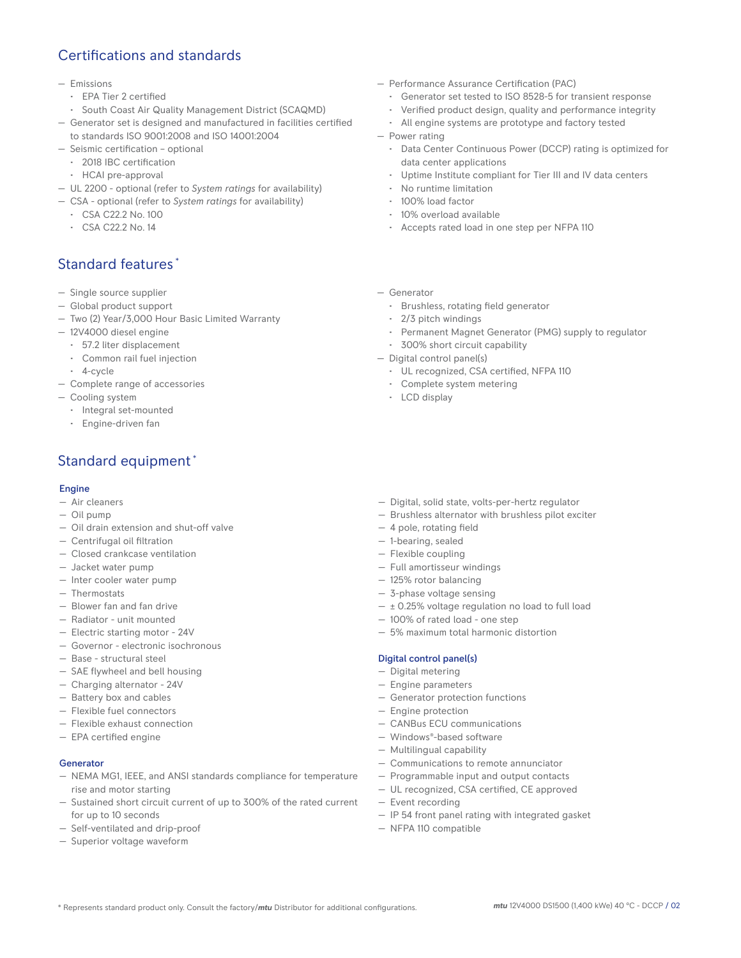# Certifications and standards

#### — Emissions

- EPA Tier 2 certified
- South Coast Air Quality Management District (SCAQMD)
- Generator set is designed and manufactured in facilities certified to standards ISO 9001:2008 and ISO 14001:2004
- Seismic certification optional
	- 2018 IBC certification
	- HCAI pre-approval
- UL 2200 optional (refer to *System ratings* for availability)
- CSA optional (refer to *System ratings* for availability)
	- CSA C22.2 No. 100
	- CSA C22.2 No. 14

## Standard features \*

- Single source supplier
- Global product support
- Two (2) Year/3,000 Hour Basic Limited Warranty
- 12V4000 diesel engine
	- 57.2 liter displacement
	- Common rail fuel injection
	- 4-cycle
- Complete range of accessories
- Cooling system
	- Integral set-mounted
	- Engine-driven fan

# Standard equipment \*

### Engine

- Air cleaners
- Oil pump
- Oil drain extension and shut-off valve
- Centrifugal oil filtration
- Closed crankcase ventilation
- Jacket water pump
- Inter cooler water pump
- Thermostats
- Blower fan and fan drive
- Radiator unit mounted
- Electric starting motor 24V
- Governor electronic isochronous
- Base structural steel
- SAE flywheel and bell housing
- Charging alternator 24V
- Battery box and cables
- Flexible fuel connectors
- Flexible exhaust connection
- EPA certified engine

## Generator

- NEMA MG1, IEEE, and ANSI standards compliance for temperature rise and motor starting
- Sustained short circuit current of up to 300% of the rated current for up to 10 seconds
- Self-ventilated and drip-proof
- Superior voltage waveform
- Performance Assurance Certification (PAC)
	- Generator set tested to ISO 8528-5 for transient response
	- Verified product design, quality and performance integrity
	- All engine systems are prototype and factory tested
- Power rating
	- Data Center Continuous Power (DCCP) rating is optimized for data center applications
	- Uptime Institute compliant for Tier III and IV data centers
	- No runtime limitation
	- 100% load factor
	- 10% overload available
	- Accepts rated load in one step per NFPA 110
- Generator
	- Brushless, rotating field generator
	- 2/3 pitch windings
	- Permanent Magnet Generator (PMG) supply to regulator
	- 300% short circuit capability
- Digital control panel(s)
	- UL recognized, CSA certified, NFPA 110
	- Complete system metering
	- LCD display
- Digital, solid state, volts-per-hertz regulator
- Brushless alternator with brushless pilot exciter
- 4 pole, rotating field
- 1-bearing, sealed
- Flexible coupling
- Full amortisseur windings
- 125% rotor balancing
- 3-phase voltage sensing
- ± 0.25% voltage regulation no load to full load
- 100% of rated load one step
- 5% maximum total harmonic distortion

#### Digital control panel(s)

- Digital metering
- Engine parameters
- Generator protection functions
- Engine protection
- CANBus ECU communications
- Windows®-based software
- Multilingual capability
- Communications to remote annunciator
- Programmable input and output contacts
- UL recognized, CSA certified, CE approved
- Event recording
- IP 54 front panel rating with integrated gasket
- NFPA 110 compatible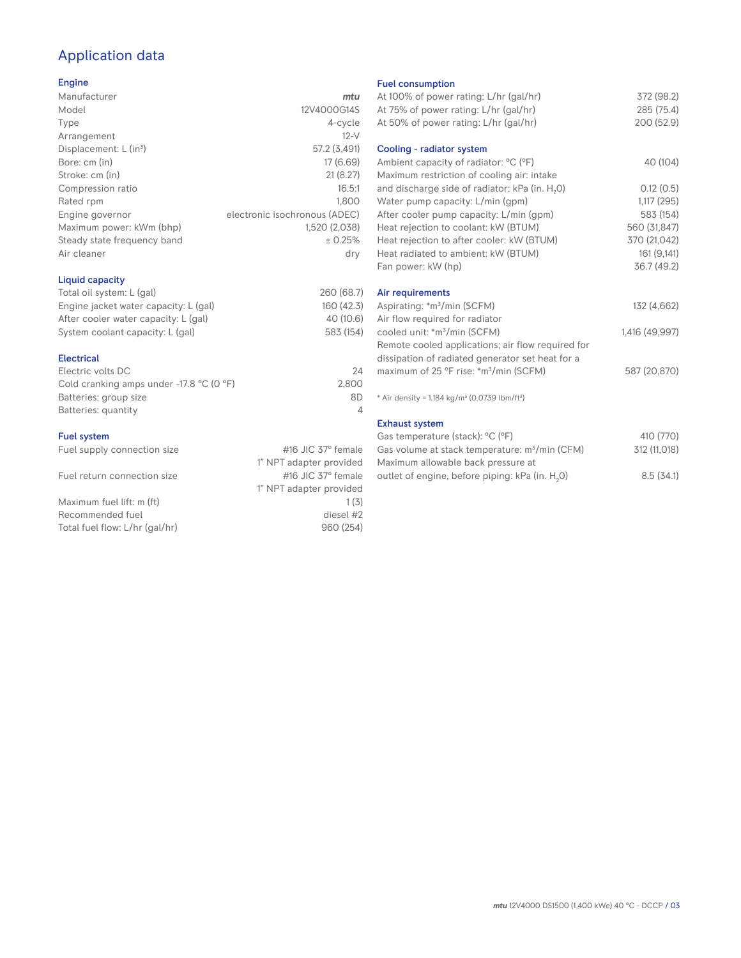# Application data

## Engine

| Manufacturer                         | mtu                           |
|--------------------------------------|-------------------------------|
| Model                                | 12V4000G14S                   |
| Type                                 | 4-cycle                       |
| Arrangement                          | $12-V$                        |
| Displacement: $L$ (in <sup>3</sup> ) | 57.2 (3,491)                  |
| Bore: cm (in)                        | 17 (6.69)                     |
| Stroke: cm (in)                      | 21(8.27)                      |
| Compression ratio                    | 16.5:1                        |
| Rated rpm                            | 1,800                         |
| Engine governor                      | electronic isochronous (ADEC) |
| Maximum power: kWm (bhp)             | 1,520 (2,038)                 |
| Steady state frequency band          | ± 0.25%                       |
| Air cleaner                          | dry                           |
|                                      |                               |

## Liquid capacity

| Total oil system: L (gal)             | 260 (68.7) |
|---------------------------------------|------------|
| Engine jacket water capacity: L (gal) | 160 (42.3) |
| After cooler water capacity: L (gal)  | 40 (10.6)  |
| System coolant capacity: L (gal)      | 583 (154)  |
|                                       |            |

## Electrical

| 24    |
|-------|
| 2.800 |
| 8D    |
|       |
|       |

## Fuel system

| Fuel supply connection size    | #16 JIC $37^\circ$ female |
|--------------------------------|---------------------------|
|                                | 1" NPT adapter provided   |
| Fuel return connection size    | #16 JIC $37^\circ$ female |
|                                | 1" NPT adapter provided   |
| Maximum fuel lift: m (ft)      | 1(3)                      |
| Recommended fuel               | diesel #2                 |
| Total fuel flow: L/hr (gal/hr) | 960 (254)                 |
|                                |                           |

#### Fuel consumption

| At 100% of power rating: L/hr (gal/hr)<br>At 75% of power rating: L/hr (gal/hr)<br>At 50% of power rating: L/hr (gal/hr) | 372 (98.2)<br>285 (75.4)<br>200 (52.9) |
|--------------------------------------------------------------------------------------------------------------------------|----------------------------------------|
| Cooling - radiator system                                                                                                |                                        |
| Ambient capacity of radiator: °C (°F)<br>Maximum restriction of cooling air: intake                                      | 40 (104)                               |
| and discharge side of radiator: kPa (in. H <sub>2</sub> 0)<br>Water pump capacity: L/min (gpm)                           | 0.12(0.5)<br>1,117(295)                |
| After cooler pump capacity: L/min (gpm)<br>Heat rejection to coolant: kW (BTUM)                                          | 583 (154)<br>560 (31,847)              |
| Heat rejection to after cooler: kW (BTUM)<br>Heat radiated to ambient: kW (BTUM)                                         | 370 (21,042)<br>161(9,141)             |
| Fan power: kW (hp)                                                                                                       | 36.7 (49.2)                            |
| Air requirements<br>Aspirating: *m <sup>3</sup> /min (SCFM)<br>Air flow required for radiator                            | 132 (4,662)                            |
| cooled unit: *m <sup>3</sup> /min (SCFM)<br>Remote cooled applications; air flow required for                            | 1,416 (49,997)                         |
| dissipation of radiated generator set heat for a<br>maximum of 25 °F rise: *m <sup>3</sup> /min (SCFM)                   | 587 (20,870)                           |
| * Air density = 1.184 kg/m <sup>3</sup> (0.0739 lbm/ft <sup>3</sup> )                                                    |                                        |
| <b>Exhaust system</b>                                                                                                    |                                        |
| Gas temperature (stack): °C (°F)                                                                                         | 410 (770)                              |
| Gas volume at stack temperature: m <sup>3</sup> /min (CFM)                                                               | 312 (11,018)                           |

| Maximum allowable back pressure at                          |           |
|-------------------------------------------------------------|-----------|
| outlet of engine, before piping: kPa (in. H <sub>2</sub> 0) | 8.5(34.1) |